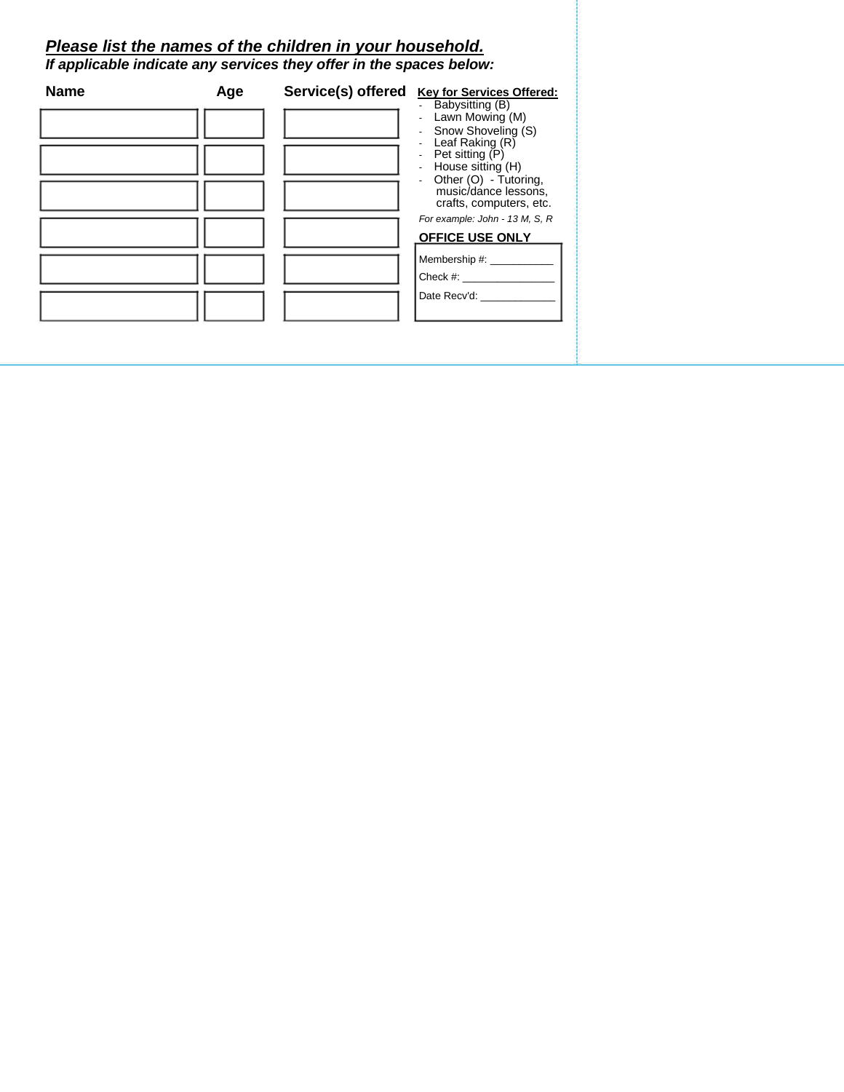### *Please list the names of the children in your household.*

*If applicable indicate any services they offer in the spaces below:*